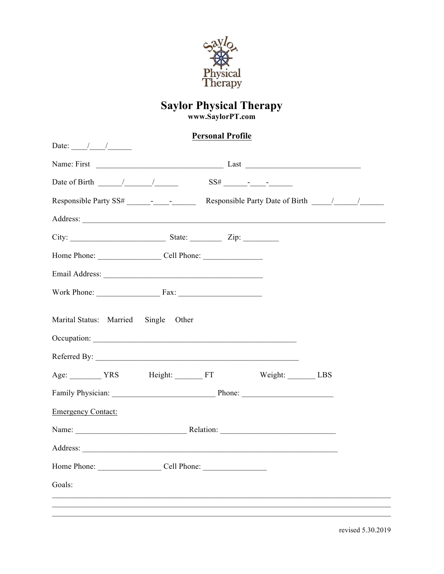

#### **Personal Profile**

| Date: $\frac{1}{\frac{1}{1-\frac{1}{1-\frac{1}{1-\frac{1}{1-\frac{1}{1-\frac{1}{1-\frac{1}{1-\frac{1}{1-\frac{1}{1-\frac{1}{1-\frac{1}{1-\frac{1}{1-\frac{1}{1-\frac{1}{1-\frac{1}{1-\frac{1}{1-\frac{1}{1-\frac{1}{1-\frac{1}{1-\frac{1}{1-\frac{1}{1-\frac{1}{1-\frac{1}{1-\frac{1}{1-\frac{1}{1-\frac{1}{1-\frac{1}{1-\frac{1}{1-\frac{1}{1-\frac{1}{1-\frac{1}{1-\frac{1}{1-\frac{1}{1-\frac{1}{1-\frac{1}{$ |                                                                                                                                                                                                                                                                                                                                                               |
|------------------------------------------------------------------------------------------------------------------------------------------------------------------------------------------------------------------------------------------------------------------------------------------------------------------------------------------------------------------------------------------------------------------|---------------------------------------------------------------------------------------------------------------------------------------------------------------------------------------------------------------------------------------------------------------------------------------------------------------------------------------------------------------|
|                                                                                                                                                                                                                                                                                                                                                                                                                  |                                                                                                                                                                                                                                                                                                                                                               |
|                                                                                                                                                                                                                                                                                                                                                                                                                  | Date of Birth $\frac{1}{\sqrt{2}}$ $\frac{1}{\sqrt{2}}$ $\frac{1}{\sqrt{2}}$ $\frac{1}{\sqrt{2}}$ $\frac{1}{\sqrt{2}}$ $\frac{1}{\sqrt{2}}$ $\frac{1}{\sqrt{2}}$ $\frac{1}{\sqrt{2}}$ $\frac{1}{\sqrt{2}}$ $\frac{1}{\sqrt{2}}$ $\frac{1}{\sqrt{2}}$ $\frac{1}{\sqrt{2}}$ $\frac{1}{\sqrt{2}}$ $\frac{1}{\sqrt{2}}$ $\frac{1}{\sqrt{2}}$ $\frac{1}{\sqrt{2}}$ |
|                                                                                                                                                                                                                                                                                                                                                                                                                  | Responsible Party SS# - - Responsible Party Date of Birth / /                                                                                                                                                                                                                                                                                                 |
|                                                                                                                                                                                                                                                                                                                                                                                                                  |                                                                                                                                                                                                                                                                                                                                                               |
|                                                                                                                                                                                                                                                                                                                                                                                                                  |                                                                                                                                                                                                                                                                                                                                                               |
|                                                                                                                                                                                                                                                                                                                                                                                                                  |                                                                                                                                                                                                                                                                                                                                                               |
|                                                                                                                                                                                                                                                                                                                                                                                                                  |                                                                                                                                                                                                                                                                                                                                                               |
|                                                                                                                                                                                                                                                                                                                                                                                                                  | Work Phone: Fax:                                                                                                                                                                                                                                                                                                                                              |
| Marital Status: Married                                                                                                                                                                                                                                                                                                                                                                                          | Single Other                                                                                                                                                                                                                                                                                                                                                  |
|                                                                                                                                                                                                                                                                                                                                                                                                                  |                                                                                                                                                                                                                                                                                                                                                               |
| Age: YRS Height: FT                                                                                                                                                                                                                                                                                                                                                                                              | Weight: LBS                                                                                                                                                                                                                                                                                                                                                   |
|                                                                                                                                                                                                                                                                                                                                                                                                                  |                                                                                                                                                                                                                                                                                                                                                               |
| <b>Emergency Contact:</b>                                                                                                                                                                                                                                                                                                                                                                                        |                                                                                                                                                                                                                                                                                                                                                               |
|                                                                                                                                                                                                                                                                                                                                                                                                                  |                                                                                                                                                                                                                                                                                                                                                               |
|                                                                                                                                                                                                                                                                                                                                                                                                                  |                                                                                                                                                                                                                                                                                                                                                               |
|                                                                                                                                                                                                                                                                                                                                                                                                                  | Home Phone: Cell Phone:                                                                                                                                                                                                                                                                                                                                       |
| Goals:                                                                                                                                                                                                                                                                                                                                                                                                           |                                                                                                                                                                                                                                                                                                                                                               |
|                                                                                                                                                                                                                                                                                                                                                                                                                  |                                                                                                                                                                                                                                                                                                                                                               |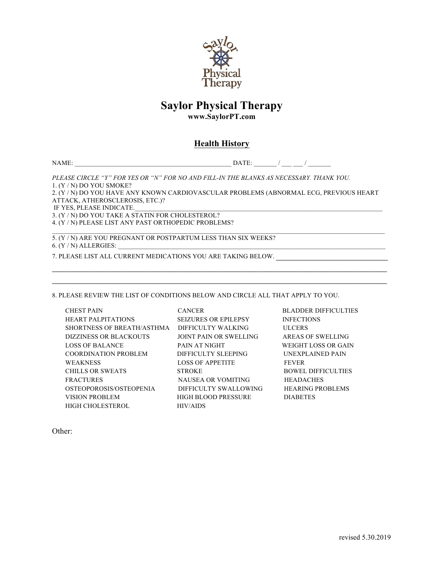

# **Saylor Physical Therapy**

**www.SaylorPT.com**

#### **Health History**

NAME: \_\_\_\_\_\_\_\_\_\_\_\_\_\_\_\_\_\_\_\_\_\_\_\_\_\_\_\_\_\_\_\_\_\_\_\_\_\_\_\_\_\_\_\_\_\_\_\_ DATE: \_\_\_\_\_\_\_ / \_\_\_ \_\_\_ / \_\_\_\_\_\_\_

*PLEASE CIRCLE "Y" FOR YES OR "N" FOR NO AND FILL-IN THE BLANKS AS NECESSARY. THANK YOU.*  1. (Y / N) DO YOU SMOKE? 2. (Y / N) DO YOU HAVE ANY KNOWN CARDIOVASCULAR PROBLEMS (ABNORMAL ECG, PREVIOUS HEART ATTACK, ATHEROSCLEROSIS, ETC.)? IF YES, PLEASE INDICATE. 3. (Y / N) DO YOU TAKE A STATIN FOR CHOLESTEROL? 4. (Y / N) PLEASE LIST ANY PAST ORTHOPEDIC PROBLEMS?

5. (Y / N) ARE YOU PREGNANT OR POSTPARTUM LESS THAN SIX WEEKS? 6. (Y / N) ALLERGIES: \_\_\_\_\_\_\_\_\_\_\_\_\_\_\_\_\_\_\_\_\_\_\_\_\_\_\_\_\_\_\_\_\_\_\_\_\_\_\_\_\_\_\_\_\_\_\_\_\_\_\_\_\_\_\_\_\_\_\_\_\_\_\_\_\_\_\_\_\_\_\_\_\_\_\_\_\_\_\_\_\_\_

7. PLEASE LIST ALL CURRENT MEDICATIONS YOU ARE TAKING BELOW.

8. PLEASE REVIEW THE LIST OF CONDITIONS BELOW AND CIRCLE ALL THAT APPLY TO YOU.

CHEST PAIN CANCER BLADDER DIFFICULTIES HEART PALPITATIONS SEIZURES OR EPILEPSY INFECTIONS SHORTNESS OF BREATH/ASTHMA DIFFICULTY WALKING ULCERS DIZZINESS OR BLACKOUTS JOINT PAIN OR SWELLING AREAS OF SWELLING LOSS OF BALANCE PAIN AT NIGHT WEIGHT LOSS OR GAIN COORDINATION PROBLEM DIFFICULTY SLEEPING UNEXPLAINED PAIN WEAKNESS LOSS OF APPETITE FEVER CHILLS OR SWEATS STROKE BOWEL DIFFICULTIES FRACTURES NAUSEA OR VOMITING HEADACHES OSTEOPOROSIS/OSTEOPENIA DIFFICULTY SWALLOWING HEARING PROBLEMS VISION PROBLEM HIGH BLOOD PRESSURE DIABETES HIGH CHOLESTEROL HIV/AIDS

 $\_$ 

Other: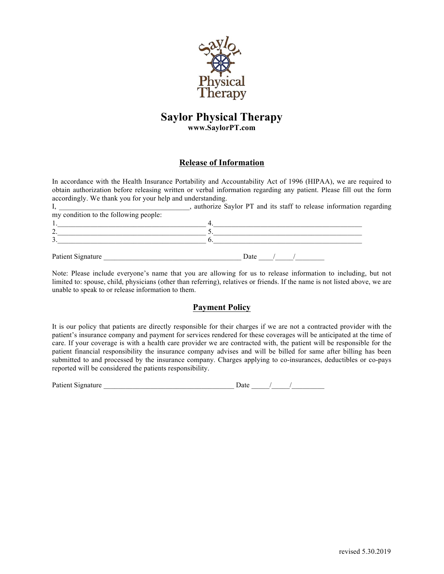

#### **Release of Information**

In accordance with the Health Insurance Portability and Accountability Act of 1996 (HIPAA), we are required to obtain authorization before releasing written or verbal information regarding any patient. Please fill out the form accordingly. We thank you for your help and understanding.

|                                       | authorize Saylor PT and its staff to release information regarding |  |
|---------------------------------------|--------------------------------------------------------------------|--|
| my condition to the following people: |                                                                    |  |
|                                       |                                                                    |  |
|                                       |                                                                    |  |
|                                       |                                                                    |  |
|                                       |                                                                    |  |
| Patient Signature                     | Date                                                               |  |

Note: Please include everyone's name that you are allowing for us to release information to including, but not limited to: spouse, child, physicians (other than referring), relatives or friends. If the name is not listed above, we are unable to speak to or release information to them.

#### **Payment Policy**

It is our policy that patients are directly responsible for their charges if we are not a contracted provider with the patient's insurance company and payment for services rendered for these coverages will be anticipated at the time of care. If your coverage is with a health care provider we are contracted with, the patient will be responsible for the patient financial responsibility the insurance company advises and will be billed for same after billing has been submitted to and processed by the insurance company. Charges applying to co-insurances, deductibles or co-pays reported will be considered the patients responsibility.

| Patient Signature | <b>Date</b> |  |  |
|-------------------|-------------|--|--|
|                   |             |  |  |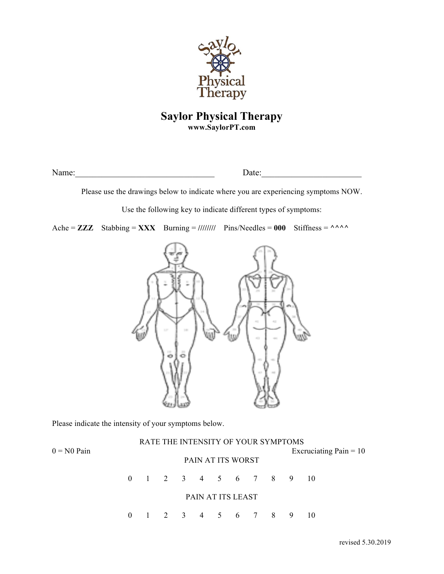

Name:\_\_\_\_\_\_\_\_\_\_\_\_\_\_\_\_\_\_\_\_\_\_\_\_\_\_\_\_\_\_\_\_ Date:\_\_\_\_\_\_\_\_\_\_\_\_\_\_\_\_\_\_\_\_\_\_\_

Please use the drawings below to indicate where you are experiencing symptoms NOW.

Use the following key to indicate different types of symptoms:

Ache =  $\mathbf{ZZZ}$  Stabbing =  $\mathbf{XXX}$  Burning = //////// Pins/Needles = 000 Stiffness =  $\wedge \wedge \wedge$ 



Please indicate the intensity of your symptoms below.

|               |                   |  |  |                          |  |  | RATE THE INTENSITY OF YOUR SYMPTOMS |                          |  |
|---------------|-------------------|--|--|--------------------------|--|--|-------------------------------------|--------------------------|--|
| $0 = N0$ Pain | PAIN AT ITS WORST |  |  |                          |  |  |                                     | Exeruciating Pain $= 10$ |  |
|               |                   |  |  |                          |  |  | 0 1 2 3 4 5 6 7 8 9 10              |                          |  |
|               |                   |  |  | <b>PAIN AT ITS LEAST</b> |  |  |                                     |                          |  |
|               |                   |  |  |                          |  |  | 0 1 2 3 4 5 6 7 8 9 10              |                          |  |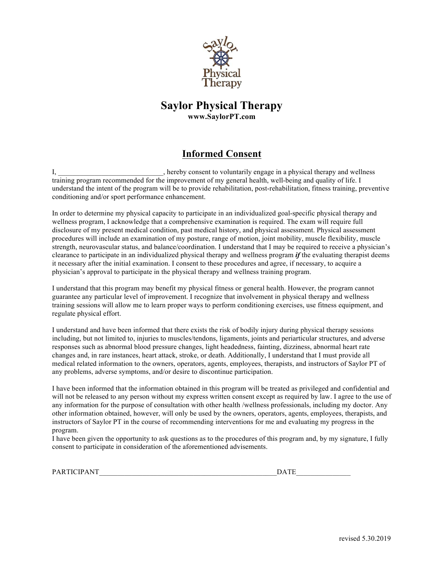

## **Informed Consent**

I, \_\_\_\_\_\_\_\_\_\_\_\_\_\_\_\_\_\_\_\_\_\_, hereby consent to voluntarily engage in a physical therapy and wellness training program recommended for the improvement of my general health, well-being and quality of life. I understand the intent of the program will be to provide rehabilitation, post-rehabilitation, fitness training, preventive conditioning and/or sport performance enhancement.

In order to determine my physical capacity to participate in an individualized goal-specific physical therapy and wellness program, I acknowledge that a comprehensive examination is required. The exam will require full disclosure of my present medical condition, past medical history, and physical assessment. Physical assessment procedures will include an examination of my posture, range of motion, joint mobility, muscle flexibility, muscle strength, neurovascular status, and balance/coordination. I understand that I may be required to receive a physician's clearance to participate in an individualized physical therapy and wellness program *if* the evaluating therapist deems it necessary after the initial examination. I consent to these procedures and agree, if necessary, to acquire a physician's approval to participate in the physical therapy and wellness training program.

I understand that this program may benefit my physical fitness or general health. However, the program cannot guarantee any particular level of improvement. I recognize that involvement in physical therapy and wellness training sessions will allow me to learn proper ways to perform conditioning exercises, use fitness equipment, and regulate physical effort.

I understand and have been informed that there exists the risk of bodily injury during physical therapy sessions including, but not limited to, injuries to muscles/tendons, ligaments, joints and periarticular structures, and adverse responses such as abnormal blood pressure changes, light headedness, fainting, dizziness, abnormal heart rate changes and, in rare instances, heart attack, stroke, or death. Additionally, I understand that I must provide all medical related information to the owners, operators, agents, employees, therapists, and instructors of Saylor PT of any problems, adverse symptoms, and/or desire to discontinue participation.

I have been informed that the information obtained in this program will be treated as privileged and confidential and will not be released to any person without my express written consent except as required by law. I agree to the use of any information for the purpose of consultation with other health /wellness professionals, including my doctor. Any other information obtained, however, will only be used by the owners, operators, agents, employees, therapists, and instructors of Saylor PT in the course of recommending interventions for me and evaluating my progress in the program.

I have been given the opportunity to ask questions as to the procedures of this program and, by my signature, I fully consent to participate in consideration of the aforementioned advisements.

|  | PARTICIPANT | <b>COLUMN</b><br>$\mathbf{v}$ |
|--|-------------|-------------------------------|
|--|-------------|-------------------------------|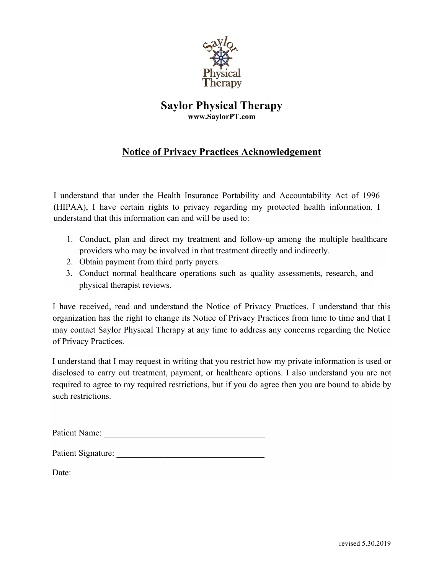

## **Notice of Privacy Practices Acknowledgement**

I understand that under the Health Insurance Portability and Accountability Act of 1996 (HIPAA), I have certain rights to privacy regarding my protected health information. I understand that this information can and will be used to:

- 1. Conduct, plan and direct my treatment and follow-up among the multiple healthcare providers who may be involved in that treatment directly and indirectly.
- 2. Obtain payment from third party payers.
- 3. Conduct normal healthcare operations such as quality assessments, research, and physical therapist reviews.

I have received, read and understand the Notice of Privacy Practices. I understand that this organization has the right to change its Notice of Privacy Practices from time to time and that I may contact Saylor Physical Therapy at any time to address any concerns regarding the Notice of Privacy Practices.

I understand that I may request in writing that you restrict how my private information is used or disclosed to carry out treatment, payment, or healthcare options. I also understand you are not required to agree to my required restrictions, but if you do agree then you are bound to abide by such restrictions.

| Patient Name: |  |
|---------------|--|
|               |  |

| Patient Signature: |  |
|--------------------|--|
|--------------------|--|

| Date: |  |
|-------|--|
|       |  |